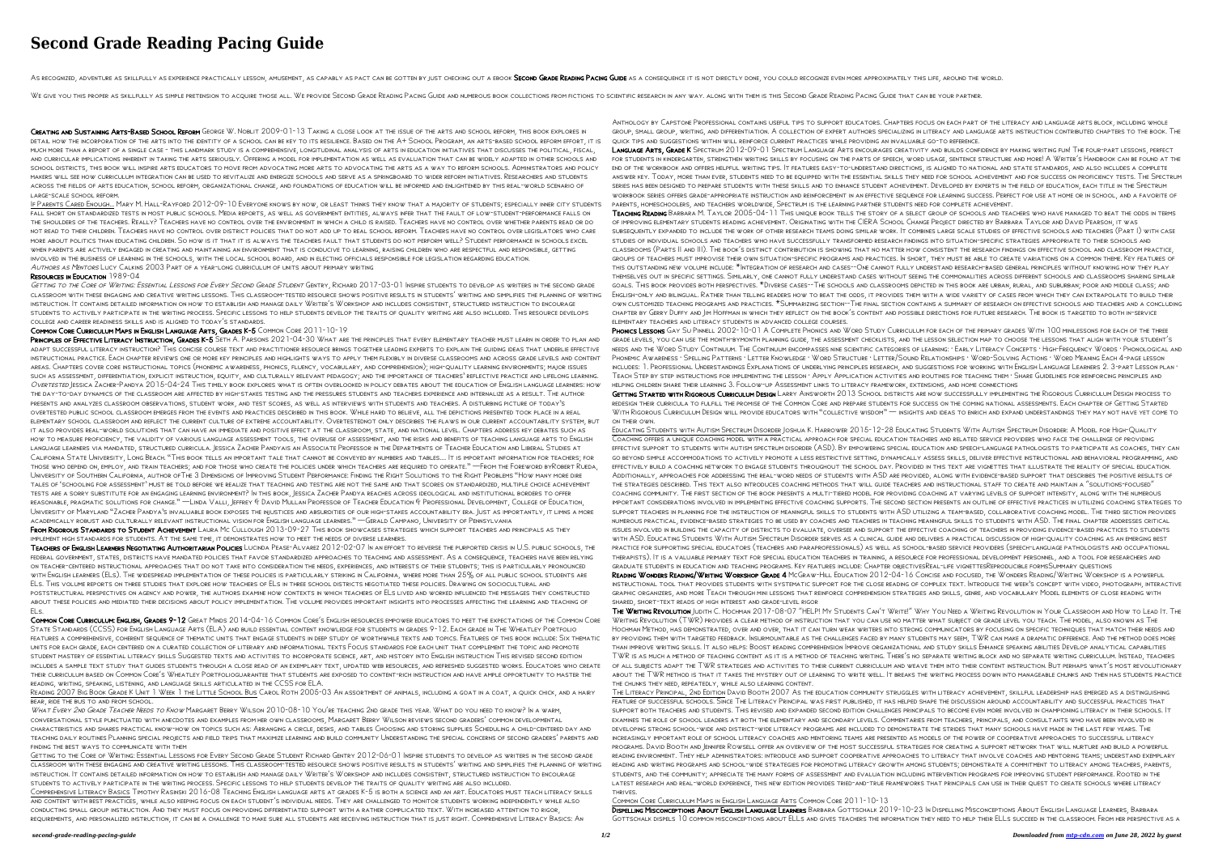# **Second Grade Reading Pacing Guide**

AS RECOGNIZED, ADVENTURE AS SKILLFULLY AS EXPERIENCE PRACTICALLY LESSON, AMUSEMENT, AS CAPABLY AS PACT CAN BE GOTTEN BY JUST CHECKING OUT A EBOOK SECOND GRADE READING PACING GUIDE AS A CONSEQUENCE IT IS NOT DIRECTLY DONE,

WE GIVE YOU THIS PROPER AS SKILLFULLY AS SIMPLE PRETENSION TO ACQUIRE THOSE ALL. WE PROVIDE SECOND GRADE READING PACING GUIDE AND NUMEROUS BOOK COLLECTIONS TO SCIENTIFIC RESEARCH IN ANY WAY. ALONG WITH THEM IS THIS SECOND

CREATING AND SUSTAINING ARTS-BASED SCHOOL REFORM GEORGE W. NOBLIT 2009-01-13 TAKING A CLOSE LOOK AT THE ISSUE OF THE ARTS AND SCHOOL REFORM, THIS BOOK EXPLORES IN detail how the incorporation of the arts into the identity of a school can be key to its resilience. Based on the A+ School Program, an arts-based school reform effort, it is much more than a report of a single case - this landmark study is a comprehensive, longitudinal analysis of arts in education initiatives that discusses the political, fiscal, and curricular implications inherent in taking the arts seriously. Offering a model for implementation as well as evaluation that can be widely adapted in other schools and school districts, this book will inspire arts educators to move from advocating more arts to advocating the arts as a way to reform schools. Administrators and policy makers will see how curriculum integration can be used to revitalize and energize schools and serve as a springboard to wider reform initiatives. Researchers and students across the fields of arts education, school reform, organizational change, and foundations of education will be informed and enlightened by this real-world scenario of large-scale school reform.

GETTING TO THE CORE OF WRITING: ESSENTIAL LESSONS FOR EVERY SECOND GRADE STUDENT GENTRY, RICHARD 2017-03-01 INSPIRE STUDENTS TO DEVELOP AS WRITERS IN THE SECOND GRADE classroom with these engaging and creative writing lessons. This classroom-tested resource shows positive results in students' writing and simplifies the planning of writing instruction. It contains detailed information on how to establish and manage daily Writer's Workshop and includes consistent, structured instruction to encourage students to actively participate in the writing process. Specific lessons to help students develop the traits of quality writing are also included. This resource develops college and career readiness skills and is aligned to today's standards.

If Parents Cared Enough... Mary M. Hall-Rayford 2012-09-10 Everyone knows by now, or least thinks they know that a majority of students; especially inner city students fall short on standardized tests in most public schools. Media reports, as well as government entities, always infer that the fault of low-student-performance falls on the shoulders of the teachers. Really? Teachers have no control over the environment in which a child is raised. Teachers have no control over whether parents read or do not read to their children. Teachers have no control over district policies that do not add up to real school reform. Teachers have no control over legislators who care more about politics than educating children. So how is it that it is always the teachers fault that students do not perform well? Student performance in schools excel when parents are actively engaged in creating and maintaining an environment that is conducive to learning, raising children who are respectful and responsible, getting involved in the business of learning in the schools, with the local school board, and in electing officials responsible for legislation regarding education. Authors as Mentors Lucy Calkins 2003 Part of a year-long curriculum of units about primary writing

### Resources in Education 1989-04

## Common Core Curriculum Maps in English Language Arts, Grades K-5 Common Core 2011-10-19

PRINCIPLES OF EFFECTIVE LITERACY INSTRUCTION, GRADES K-5 SETH A. PARSONS 2021-04-30 WHAT ARE THE PRINCIPLES THAT EVERY ELEMENTARY TEACHER MUST LEARN IN ORDER TO PLAN AND adapt successful literacy instruction? This concise course text and practitioner resource brings together leading experts to explain the guiding ideas that underlie effective instructional practice. Each chapter reviews one or more key principles and highlights ways to apply them flexibly in diverse classrooms and across grade levels and content areas. Chapters cover core instructional topics (phonemic awareness, phonics, fluency, vocabulary, and comprehension); high-quality learning environments; major issues such as assessment, differentiation, explicit instruction, equity, and culturally relevant pedagogy; and the importance of teachers' reflective practice and lifelong learning. OVERTESTED JESSICA ZACHER-PANDYA 2015-04-24 THIS TIMELY BOOK EXPLORES WHAT IS OFTEN OVERLOOKED IN POLICY DEBATES ABOUT THE EDUCATION OF ENGLISH LANGUAGE LEARNERS: HOW the day-to-day dynamics of the classroom are affected by high-stakes testing and the pressures students and teachers experience and internalize as a result. The author presents and analyzes classroom observations, student work, and test scores, as well as interviews with students and teachers. A disturbing picture of today's overtested public school classroom emerges from the events and practices described in this book. While hard to believe, all the depictions presented took place in a real elementary school classroom and reflect the current culture of extreme accountability. Overtestednot only describes the flaws in our current accountability system, but it also provides real-world solutions that can have an immediate and positive effect at the classroom, state, and national level. Chapters address key debates such as how to measure proficiency, the validity of various language assessment tools, the overuse of assessment, and the risks and benefits of teaching language arts to English language learners via mandated, structured curricula. Jessica Zacher Pandyais an Associate Professor in the Departments of Teacher Education and Liberal Studies at California State University, Long Beach. "This book tells an important tale that cannot be conveyed by numbers and tables.... It is important information for teachers; for those who depend on, employ, and train teachers; and for those who create the policies under which teachers are required to operate." —From the Foreword byRobert Rueda, University of Southern California, author ofThe 3 Dimensions of Improving Student Performance: Finding the Right Solutions to the Right Problems "How many more dire tales of 'schooling for assessment' must be told before we realize that teaching and testing are not the same and that scores on standardized, multiple choice achievement tests are a sorry substitute for an engaging learning environment? In this book, Jessica Zacher Pandya reaches across ideological and institutional borders to offer reasonable, pragmatic solutions for change." —Linda Valli, Jeffrey & David Mullan Professor of Teacher Education & Professional Development, College of Education, University of Maryland "Zacher Pandya's invaluable book exposes the injustices and absurdities of our high-stakes accountability era. Just as importantly, it limns a more academically robust and culturally relevant instructional vision for English language learners." —Gerald Campano, University of Pennsylvania FROM RIGOROUS STANDARDS TO STUDENT ACHIEVEMENT LAURA MC CULLOUGH 2013-09-27 THIS BOOK SHOWCASES STRATEGIES WHICH SUPPORT TEACHERS AND PRINCIPALS AS THEY

WHAT EVERY 2ND GRADE TEACHER NEEDS TO KNOW MARGARET BERRY WILSON 2010-08-10 YOU'RE TEACHING 2ND GRADE THIS YEAR. WHAT DO YOU NEED TO KNOW? IN A WARM, conversational style punctuated with anecdotes and examples from her own classrooms, Margaret Berry Wilson reviews second graders' common developmental characteristics and shares practical know-how on topics such as: Arranging a circle, desks, and tables Choosing and storing supplies Scheduling a child-centered day and teaching daily routines Planning special projects and field trips that maximize learning and build community Understanding the special concerns of second graders' parents and finding the best ways to communicate with them

LANGUAGE ARTS, GRADE K SPECTRUM 2012-09-01 SPECTRUM LANGUAGE ARTS ENCOURAGES CREATIVITY AND BUILDS CONFIDENCE BY MAKING WRITING FUN! THE FOUR-PART LESSONS, PERFECT for students in kindergarten, strengthen writing skills by focusing on the parts of speech, word usage, sentence structure and more! A Writer's Handbook can be found at the end of the workbook and offers helpful writing tips. It features easy-to-understand directions, is aligned to national and state standards, and also includes a complete answer key. Today, more than ever, students need to be equipped with the essential skills they need for school achievement and for success on proficiency tests. The Spectrum series has been designed to prepare students with these skills and to enhance student achievement. Developed by experts in the field of education, each title in the Spectrum workbook series offers grade-appropriate instruction and reinforcement in an effective sequence for learning success. Perfect for use at home or in school, and a favorite of parents, homeschoolers, and teachers worldwide, Spectrum is the learning partner students need for complete achievement.

implement high standards for students. At the same time, it demonstrates how to meet the needs of diverse learners.

Teachers of English Learners Negotiating Authoritarian Policies Lucinda Pease-Alvarez 2012-02-07 In an effort to reverse the purported crisis in U.S. public schools, the federal government, states, districts have mandated policies that favor standardized approaches to teaching and assessment. As a consequence, teachers have been relying on teacher-centered instructional approaches that do not take into consideration the needs, experiences, and interests of their students; this is particularly pronounced with English learners (ELs). The widespread implementation of these policies is particularly striking in California, where more than 25% of all public school students are ELs. This volume reports on three studies that explore how teachers of ELs in three school districts negotiated these policies. Drawing on sociocultural and poststructural perspectives on agency and power, the authors examine how contexts in which teachers of ELs lived and worked influenced the messages they constructed about these policies and mediated their decisions about policy implementation. The volume provides important insights into processes affecting the learning and teaching of ELs.

PHONICS LESSONS GAY SU PINNELL 2002-10-01 A COMPLETE PHONICS AND WORD STUDY CURRICULUM FOR EACH OF THE PRIMARY GRADES WITH 100 MINILESSONS FOR EACH OF THE THREE grade levels, you can use the month-bymonth planning guide, the assessment checklists, and the lesson selection map to choose the lessons that align with your student's needs and the Word Study Continuum. The Continuum encompasses nine scientific categories of learning: · Early Literacy Concepts · High-Frequency Words · Phonological and PHONEMIC AWARENESS · SPELLING PATTERNS · LETTER KNOWLEDGE · WORD STRUCTURE · LETTER/SOUND RELATIONSHIPS · WORD-SOLVING ACTIONS · WORD MEANING EACH 4-PAGE LESSON includes: 1. Professional Understandings Explanations of underlying principles research, and suggestions for working with English Language Learners 2. 3-part Lesson plan · Teach Step by step instructions for implementing the lesson · Apply Application activities and routines for teaching them · Share Guidelines for reinforcing principles and helping children share their learning 3. Follow-up Assessment links to literacy framework, extensions, and home connections

GETTING STARTED WITH RIGOROUS CURRICULUM DESIGN LARRY AINSWORTH 2013 SCHOOL DISTRICTS ARE NOW SUCCESSFULLY IMPLEMENTING THE RIGOROUS CURRICULUM DESIGN PROCESS TO redesign their curricula to fulfill the promise of the Common Core and prepare students for success on the coming national assessments. Each chapter of Getting Started With Rigorous Curriculum Design will provide educators with "collective wisdom" — insights and ideas to enrich and expand understandings they may not have yet come to

Educating Students with Autism Spectrum Disorder Joshua K. Harrower 2015-12-28 Educating Students With Autism Spectrum Disorder: A Model for High-Quality Coaching offers a unique coaching model with a practical approach for special education teachers and related service providers who face the challenge of providing effective support to students with autism spectrum disorder (ASD). By empowering special education and speech-language pathologists to participate as coaches, they can go beyond simple accommodations to actively promote a less restrictive setting, dynamically assess skills, deliver effective instructional and behavioral programming, and effectively build a coaching network to engage students throughout the school day. Provided in this text are vignettes that illustrate the reality of special education. Additionally, approaches for addressing the real-word needs of students with ASD are provided, along with evidence-based support that describes the positive results of THE STRATEGIES DESCRIBED. THIS TEXT ALSO INTRODUCES COACHING METHODS THAT WILL GUIDE TEACHERS AND INSTRUCTIONAL STAFF TO CREATE AND MAINTAIN A "SOLUTIONS-FOCUSED" coaching community. The first section of the book presents a multi-tiered model for providing coaching at varying levels of support intensity, along with the numerous important considerations involved in implementing effective coaching supports. The second section presents an outline of effective practices in utilizing coaching strategies to support teachers in planning for the instruction of meaningful skills to students with ASD utilizing a team-based, collaborative coaching model. The third section provides numerous practical, evidence-based strategies to be used by coaches and teachers in teaching meaningful skills to students with ASD. The final chapter addresses critical issues involved in building the capacity of districts to evaluate, oversee and support the effective coaching of teachers in providing evidence-based practices to students with ASD. Educating Students With Autism Spectrum Disorder serves as a clinical guide and delivers a practical discussion of high-quality coaching as an emerging best practice for supporting special educators (teachers and paraprofessionals) as well as school-based service providers (speech-language pathologists and occupational therapists). It is a valuable primary text for special education teachers in training, a resource for professional development personnel, and a tool for researchers and graduate students in education and teaching programs. Key features include: Chapter objectivesReal-life vignettesReproducible formsSummary questions READING WONDERS READING/WRITING WORKSHOP GRADE 4 MCGRAW-HILL EDUCATION 2012-04-16 CONCISE AND FOCUSED, THE WONDERS READING/WRITING WORKSHOP IS A POWERFUL

Common Core Curriculum: English, Grades 9-12 Great Minds 2014-04-16 Common Core's English resources empower educators to meet the expectations of the Common Core State Standards (CCSS) for English Language Arts (ELA) and build essential content knowledge for students in grades 9-12. Each grade in The Wheatley Portfolio features a comprehensive, coherent sequence of thematic units that engage students in deep study of worthwhile texts and topics. Features of this book include: Six thematic units for each grade, each centered on a curated collection of literary and informational texts Focus standards for each unit that complement the topic and promote student mastery of essential literacy skills Suggested texts and activities to incorporate science, art, and history into English instruction This revised second edition includes a sample text study that guides students through a close read of an exemplary text, updated web resources, and refreshed suggested works. Educators who create their curriculum based on Common Core's Wheatley Portfolioguarantee that students are exposed to content-rich instruction and have ample opportunity to master the reading, writing, speaking, listening, and language skills articulated in the CCSS for ELA.

Reading 2007 Big Book Grade K Unit 1 Week 1 the Little School Bus Carol Roth 2005-03 An assortment of animals, including a goat in a coat, a quick chick, and a hairy bear, ride the bus to and from school.

THE WRITING REVOLUTION JUDITH C. HOCHMAN 2017-08-07 "HELP! MY STUDENTS CAN'T WRITE!" WHY YOU NEED A WRITING REVOLUTION IN YOUR CLASSROOM AND HOW TO LEAD IT. THE Writing Revolution (TWR) provides a clear method of instruction that you can use no matter what subject or grade level you teach. The model, also known as The

Getting to the Core of Writing: Essential Lessons for Every Second Grade Student Richard Gentry 2012-06-01 Inspire students to develop as writers in the second grade classroom with these engaging and creative writing lessons. This classroom-tested resource shows positive results in students' writing and simplifies the planning of writing instruction. It contains detailed information on how to establish and manage daily Writer's Workshop and includes consistent, structured instruction to encourage students to actively participate in the writing process. Specific lessons to help students develop the traits of quality writing are also included. Comprehensive Literacy Basics Timothy Rasinski 2016-08 Teaching English language arts at grades K-5 is both a science and an art. Educators must teach literacy skills and content with best practices, while also keeping focus on each student's individual needs. They are challenged to monitor students working independently while also conducting small group instruction. And they must focus on providing differentiated support with a rather complicated text. With increased attention to rigor,

requirements, and personalized instruction, it can be a challenge to make sure all students are receiving instruction that is just right. Comprehensive Literacy Basics: An

Anthology by Capstone Professional contains useful tips to support educators. Chapters focus on each part of the literacy and language arts block, including whole group, small group, writing, and differentiation. A collection of expert authors specializing in literacy and language arts instruction contributed chapters to the book. The quick tips and suggestions within will reinforce current practices while providing an invaluable go-to reference.

Teaching Reading Barbara M. Taylor 2005-04-11 This unique book tells the story of a select group of schools and teachers who have managed to beat the odds in terms of improving elementary students reading achievement. Originating with the CIERA School Change Project directed by Barbara Taylor and David Pearson, it was subsequently expanded to include the work of other research teams doing similar work. It combines large scale studies of effective schools and teachers (Part I) with case studies of individual schools and teachers who have successfully transformed research findings into situation-specific strategies appropriate to their schools and classrooms (Parts II and III). The book's distinct contribution is showing that no matter how consistent the research findings on effective school and classroom practice, groups of teachers must improvise their own situation-specific programs and practices. In short, they must be able to create variations on a common theme. Key features of this outstanding new volume include: \*Integration of research and cases--One cannot fully understand research-based general principles without knowing how they play themselves out in specific settings. Similarly, one cannot fully understand cases without seeing the commonalities across different schools and classrooms sharing similar goals. This book provides both perspectives. \*Diverse cases--The schools and classrooms depicted in this book are urban, rural, and suburban; poor and middle class; and ENGLISH-ONLY AND BILINGUAL. RATHER THAN TELLING READERS HOW TO BEAT THE ODDS, IT PROVIDES THEM WITH A WIDE VARIETY OF CASES FROM WHICH THEY CAN EXTRAPOLATE TO BUILD THEIR own customized teaching programs and practices. \*Summarizing section--The final section contains a summary of research on effective schools and teachers and a concluding chapter by Gerry Duffy and Jim Hoffman in which they reflect on the book's content and possible directions for future research. The book is targeted to both in-service elementary teachers and literacy students in advanced college courses.

on their own.

instructional tool that provides students with systematic support for the close reading of complex text. Introduce the week's concept with video, photograph, interactive graphic organizers, and more Teach through mini lessons that reinforce comprehension strategies and skills, genre, and vocabulary Model elements of close reading with shared, short-text reads of high interest and grade-level rigor

Hochman Method, has demonstrated, over and over, that it can turn weak writers into strong communicators by focusing on specific techniques that match their needs and by providing them with targeted feedback. Insurmountable as the challenges faced by many students may seem, TWR can make a dramatic difference. And the method does more than improve writing skills. It also helps: Boost reading comprehension Improve organizational and study skills Enhance speaking abilities Develop analytical capabilities TWR is as much a method of teaching content as it is a method of teaching writing. There's no separate writing block and no separate writing curriculum. Instead, teachers of all subjects adapt the TWR strategies and activities to their current curriculum and weave them into their content instruction. But perhaps what's most revolutionary about the TWR method is that it takes the mystery out of learning to write well. It breaks the writing process down into manageable chunks and then has students practice the chunks they need, repeatedly, while also learning content. The Literacy Principal, 2nd Edition David Booth 2007 As the education community struggles with literacy achievement, skillful leadership has emerged as a distinguishing feature of successful schools. Since The Literacy Principal was first published, it has helped shape the discussion around accountability and successful practices that support both teachers and students. This revised and expanded second edition challenges principals to become even more involved in championing literacy in their schools. It examines the role of school leaders at both the elementary and secondary levels. Commentaries from teachers, principals, and consultants who have been involved in developing strong school-wide and district-wide literacy programs are included to demonstrate the strides that many schools have made in the last few years. The increasingly important role of school literacy coaches and mentoring teams are presented as models of the power of cooperative approaches to successful literacy programs. David Booth and Jennifer Rowsell offer an overview of the most successful strategies for creating a support network that will nurture and build a powerful reading environment. They help administrators: introduce and support cooperative approaches to literacy that involve coaches and mentoring teams; understand exemplary reading and writing programs and school-wide strategies for promoting literacy growth among students; demonstrate a commitment to literacy among teachers, parents, students, and the community; appreciate the many forms of assessment and evaluation including intervention programs for improving student performance. Rooted in the latest research and real-world experience, this new edition provides tried-and-true frameworks that principals can use in their quest to create schools where literacy thrives. Common Core Curriculum Maps in English Language Arts Common Core 2011-10-13

Dispelling Misconceptions About English Language Learners Barbara Gottschalk 2019-10-23 In Dispelling Misconceptions About English Language Learners, Barbara Gottschalk dispels 10 common misconceptions about ELLs and gives teachers the information they need to help their ELLs succeed in the classroom. From her perspective as a